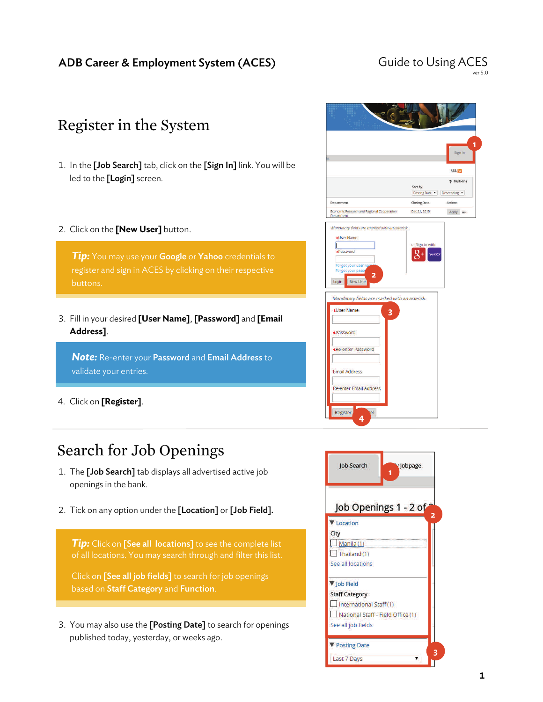# Guide to Using ACES

# Register in the System

- 1. In the [Job Search] tab, click on the [Sign In] link. You will be led to the [Login] screen.
- 2. Click on the **[New User]** button.

*Tip:* You may use your Google or Yahoo credentials to buttons.

3. Fill in your desired **[User Name]**, **[Password]** and **[Email Address]**.

**Note:** Re-enter your **Password** and **Email Address** to validate your entries.

4. Click on **[Register]**.

# Search for Job Openings

- 1. The [Job Search] tab displays all advertised active job openings in the bank.
- 2. Tick on any option under the [Location] or [Job Field].

*Tip:* Click on [See all locations] to see the complete list

Click on **[See all job fields]** to search for job openings based on Staff Category and Function.

3. You may also use the [Posting Date] to search for openings published today, yesterday, or weeks ago.



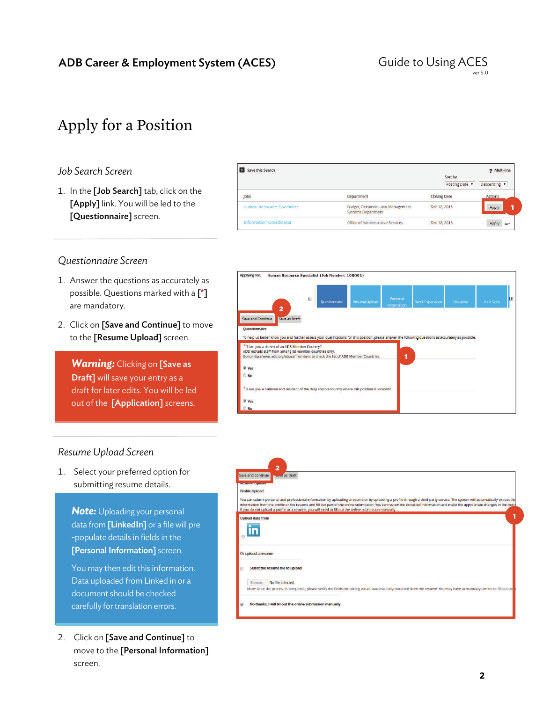

# Apply for a Position

## *Job Search Screen*

1. In the [Job Search] tab, click on the [Apply] link. You will be led to the [Questionnaire] screen.

| Save this Search               |                                                                       |                         | 2 Multi-line   |
|--------------------------------|-----------------------------------------------------------------------|-------------------------|----------------|
|                                |                                                                       | Sort by<br>Posting Date | Descending v   |
| lobs                           | <b>Department</b>                                                     | <b>Closing Date</b>     | <b>Actions</b> |
| Human Resource Specialist      | <b>Budget, Personnel, and Management</b><br><b>Systems Department</b> | Dec 18, 2015            | Apply          |
| <b>Information Coordinator</b> | <b>Cffice of Administrative Services</b>                              | Dec 18, 2015            | Apply =-       |

## *Questionnaire Screen*

- 1. Answer the questions as accurately as possible. Questions marked with a [\*] are mandatory.
- 2. Click on [Save and Continue] to move to the [Resume Upload] screen.

*Warning: Clicking on [Save as* Draft] will save your entry as a draft for later edits. You will be led out of the [Application] screens.



## *Resume Upload Screen*

1. Select your preferred option for submitting resume details.

**Note:** Uploading your personal data from [LinkedIn] or a file will pre -populate details in fields in the [Personal Information] screen.

You may then edit this information. Data uploaded from Linked in or a document should be checked carefully for translation errors.

2. Click on [Save and Continue] to move to the [Personal Information] screen.

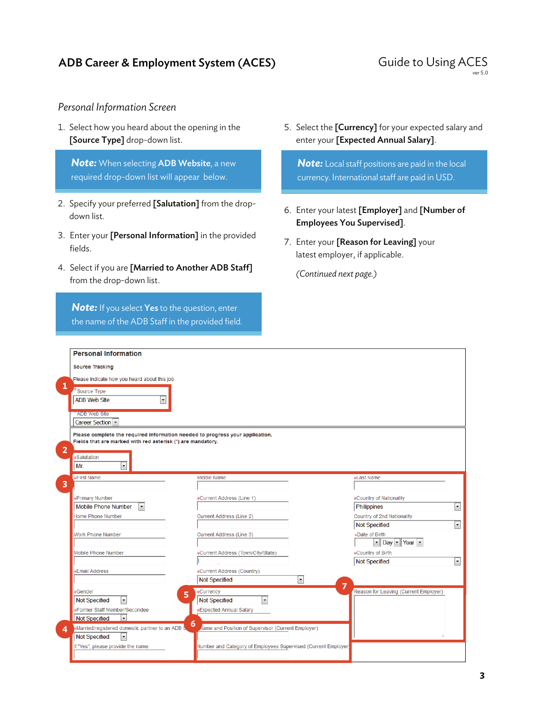### Guide to Using ACES ver 5.0

## *Personal Information Screen*

1. Select how you heard about the opening in the [Source Type] drop-down list.

*Note:* When selecting ADB Website, a new required drop-down list will appear below.

- 2. Specify your preferred [Salutation] from the dropdown list.
- 3. Enter your [Personal Information] in the provided fields.
- 4. Select if you are [Married to Another ADB Staff] from the drop-down list.

**Note:** If you select Yes to the question, enter the name of the ADB Staff in the provided field. 5. Select the [Currency] for your expected salary and enter your [Expected Annual Salary].

*Note:* Local staff positions are paid in the local currency. International staff are paid in USD.

- 6. Enter your latest [Employer] and [Number of Employees You Supervised].
- 7. Enter your [Reason for Leaving] your latest employer, if applicable.

 *(Continued next page.)* 

|                         | <b>Personal Information</b>                                                                                                                  |                                                                           |                                                                                                     |                          |
|-------------------------|----------------------------------------------------------------------------------------------------------------------------------------------|---------------------------------------------------------------------------|-----------------------------------------------------------------------------------------------------|--------------------------|
|                         | <b>Source Tracking</b>                                                                                                                       |                                                                           |                                                                                                     |                          |
|                         | Please indicate how you heard about this job.                                                                                                |                                                                           |                                                                                                     |                          |
| 1                       | Source Type<br>$\overline{\phantom{0}}$<br><b>ADB Web Site</b>                                                                               |                                                                           |                                                                                                     |                          |
|                         | <b>ADB Web Site</b><br>Career Section                                                                                                        |                                                                           |                                                                                                     |                          |
| $\overline{2}$          | Please complete the required information needed to progress your application.<br>Fields that are marked with red asterisk (*) are mandatory. |                                                                           |                                                                                                     |                          |
|                         | <b>*Salutation</b><br>Mr.<br>$\blacktriangledown$                                                                                            |                                                                           |                                                                                                     |                          |
| $\overline{\mathbf{3}}$ | <b>*First Name</b>                                                                                                                           | Middle Name                                                               | <b>*Last Name</b>                                                                                   |                          |
|                         | <b>*Primary Number</b><br>$\vert \cdot \vert$<br>Mobile Phone Number                                                                         | <b>*Current Address (Line 1)</b>                                          | <b>*Country of Nationality</b><br>Philippines                                                       | $\overline{\phantom{a}}$ |
|                         | Home Phone Number                                                                                                                            | <b>Current Address (Line 2)</b>                                           | Country of 2nd Nationality<br><b>Not Specified</b>                                                  | $\blacksquare$           |
|                         | <b>Work Phone Number</b>                                                                                                                     | <b>Current Address (Line 3)</b>                                           | <b>*Date of Birth</b><br>$\blacktriangleright$ Day $\blacktriangleright$ Year $\blacktriangleright$ |                          |
|                         | <b>Mobile Phone Number</b>                                                                                                                   | *Current Address (Town/City/State)                                        | *Country of Birth<br><b>Not Specified</b>                                                           | $\blacksquare$           |
|                         | <b>*Email Address</b>                                                                                                                        | *Current Address (Country)<br>$\blacksquare$<br><b>Not Specified</b><br>7 |                                                                                                     |                          |
|                         | <b>*Gender</b><br>5<br>$\blacktriangledown$<br><b>Not Specified</b>                                                                          | <b>*Currency</b><br>$\blacktriangledown$<br><b>Not Specified</b>          | Reason for Leaving (Current Employer)                                                               |                          |
|                         | <b>*Former Staff Member/Secondee</b><br>$\overline{\phantom{a}}$<br>Not Specified                                                            | <b>*Expected Annual Salary</b><br>6                                       |                                                                                                     |                          |
| $\boldsymbol{\Lambda}$  | *Married/registered domestic partner to an ADB \$<br>$\blacktriangledown$<br>Not Specified                                                   | <b>Aame and Position of Supervisor (Current Employer)</b>                 |                                                                                                     |                          |
|                         | If "Yes", please provide the name.                                                                                                           | Number and Category of Employees Supervised (Current Employer)            |                                                                                                     |                          |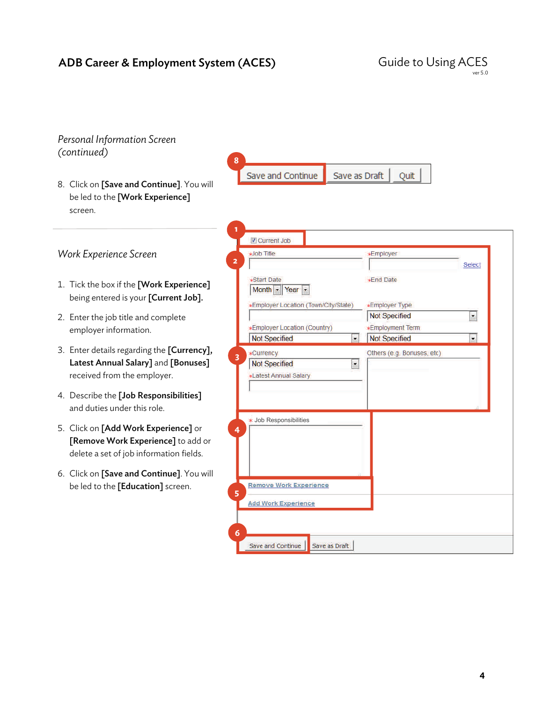#### *Personal Information Screen (continued)*  **8**  Save and Continue Save as Draft Quit 8. Click on [Save and Continue]. You will be led to the [Work Experience] screen. **1**  Current Job *Work Experience Screen*  **xJob Title \*Employer 2**  Select \*Start Date **\*End Date** 1. Tick the box if the [Work Experience] Month - Year being entered is your [Current Job]. **\*Employer Location (Town/City/State) \*Employer Type** ø **Not Specified** 2. Enter the job title and complete **\*Employer Location (Country) \*Employment Term** employer information. Not Specified  $\blacksquare$ Not Specified  $\left| \rule{0pt}{10pt}\right.$ 3. Enter details regarding the [Currency], **\*Currency** Others (e.g. Bonuses, etc) **3**  Latest Annual Salary] and [Bonuses] **Not Specified**  $\blacktriangleright$ **\*Latest Annual Salary** received from the employer. 4. Describe the [Job Responsibilities] and duties under this role. Job Responsibilities 5. Click on [Add Work Experience] or **4**  [Remove Work Experience] to add or delete a set of job information fields. 6. Click on [Save and Continue]. You will be led to the [Education] screen. **Remove Work Experience 5 Add Work Experience 6**  Save and Continue Save as Draft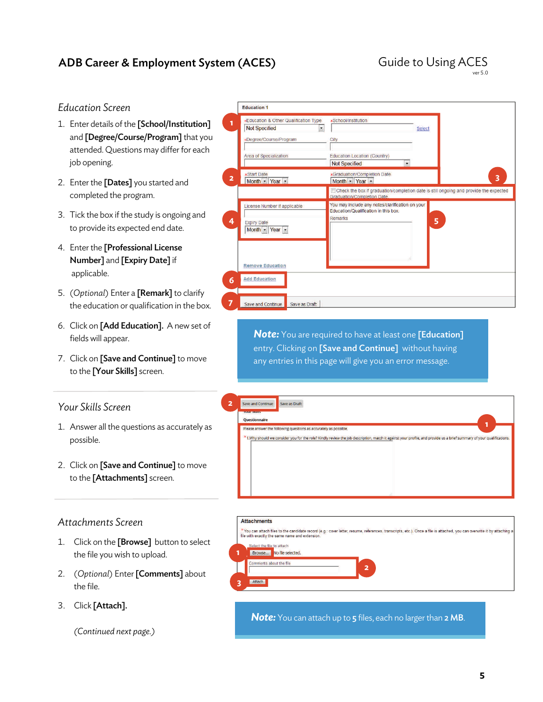### Guide to Using ACES ver 5.0

## *Education Screen*

- 1. Enter details of the [School/Institution] and [Degree/Course/Program] that you attended. Questions may differ for each job opening.
- 2. Enter the [Dates] you started and completed the program.
- 3. Tick the box if the study is ongoing and to provide its expected end date.
- 4. Enter the [Professional License Number] and [Expiry Date] if applicable.
- 5. (*Optional*) Enter a [Remark] to clarify the education or qualification in the box.
- 6. Click on [Add Education]. A new set of fields will appear.
- 7. Click on [Save and Continue] to move to the [Your Skills] screen.

## *Your Skills Screen*

- 1. Answer all the questions as accurately as possible.
- 2. Click on [Save and Continue] to move to the [Attachments] screen.

## *Attachments Screen*

- 1. Click on the [Browse] button to select the file you wish to upload.
- 2. (*Optional*) Enter [Comments] about the file.
- 3. Click [Attach].

### *(Continued next page.)*

|                | *Education & Other Qualification Type<br><b>Not Specified</b><br>$\blacktriangledown$<br>*Degree/Course/Program | *School/Institution<br>City                                                                               | Select                                                                                |
|----------------|-----------------------------------------------------------------------------------------------------------------|-----------------------------------------------------------------------------------------------------------|---------------------------------------------------------------------------------------|
|                | Area of Specialization                                                                                          | <b>Education Location (Country)</b><br>$\ddotmark$<br><b>Not Specified</b>                                |                                                                                       |
| $\overline{2}$ | <b>*Start Date</b><br>Month - Year -                                                                            | *Graduation/Completion Date<br>Month - Year -                                                             | 3                                                                                     |
|                |                                                                                                                 | <b>Graduation/Completion Date.</b>                                                                        | Check the box if graduation/completion date is still ongoing and provide the expected |
| 4              | License Number if applicable<br><b>Expiry Date</b><br>Month - Year -                                            | You may include any notes/clarification on your<br>Education/Qualification in this box.<br><b>Remarks</b> | 5                                                                                     |
|                | <b>Remove Education</b><br><b>Add Education</b>                                                                 |                                                                                                           |                                                                                       |
| 6              |                                                                                                                 |                                                                                                           |                                                                                       |
| 7              | Save as Draft<br>Save and Continue                                                                              |                                                                                                           |                                                                                       |

**Note:** You are required to have at least one [Education] entry. Clicking on [Save and Continue] without having any entries in this page will give you an error message.

| <b>CITIZE TROL</b> |                                                                                                                                                                       |  |
|--------------------|-----------------------------------------------------------------------------------------------------------------------------------------------------------------------|--|
| Questionnaire      |                                                                                                                                                                       |  |
|                    | Please answer the following questions as accurately as possible.                                                                                                      |  |
|                    | *1. Why should we consider you for the role? Kindly review the job description, match it against your profile, and provide us a brief summary of your qualifications. |  |
|                    |                                                                                                                                                                       |  |
|                    |                                                                                                                                                                       |  |
|                    |                                                                                                                                                                       |  |
|                    |                                                                                                                                                                       |  |
|                    |                                                                                                                                                                       |  |
|                    |                                                                                                                                                                       |  |
|                    |                                                                                                                                                                       |  |
|                    |                                                                                                                                                                       |  |
|                    |                                                                                                                                                                       |  |
|                    |                                                                                                                                                                       |  |

#### **Attachments**

**Education 1** 

\*You can attach files to the candidate record (e.g.: cover letter, resume, references, transcripts, etc.). Once a file is attached, you can overwrite it by attaching<br>file with exactly the same name and extension. elect the file to attach **1**  Browse... No file selected. about the file **2 3**  Attach

*Note:* You can attach up to 5 files, each no larger than 2 MB.